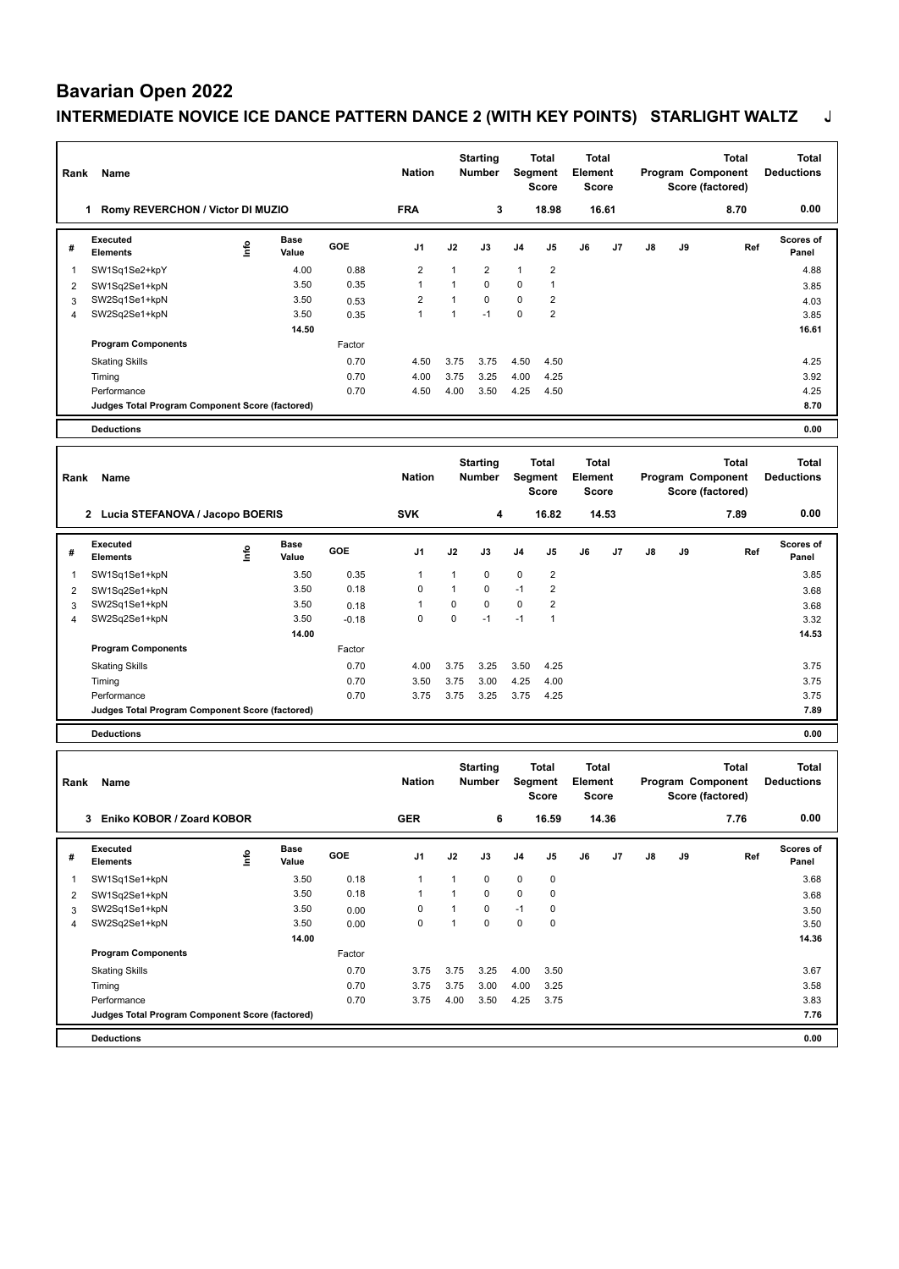# **Bavarian Open 2022**

## **INTERMEDIATE NOVICE ICE DANCE PATTERN DANCE 2 (WITH KEY POINTS) STARLIGHT WALTZ J**

|                |                                                                      |      |                      |               |                |               | <b>Starting</b>                  |                         | Total                                   | <b>Total</b>                     |                                       |    |    | <b>Total</b>                                          | <b>Total</b>                      |
|----------------|----------------------------------------------------------------------|------|----------------------|---------------|----------------|---------------|----------------------------------|-------------------------|-----------------------------------------|----------------------------------|---------------------------------------|----|----|-------------------------------------------------------|-----------------------------------|
| Rank           | Name                                                                 |      |                      | <b>Nation</b> |                | <b>Number</b> |                                  | Segment<br><b>Score</b> | <b>Element</b><br>Score                 |                                  | Program Component<br>Score (factored) |    |    | <b>Deductions</b>                                     |                                   |
|                | 1 Romy REVERCHON / Victor DI MUZIO                                   |      |                      |               | <b>FRA</b>     |               | 3                                |                         | 18.98                                   |                                  | 16.61                                 |    |    | 8.70                                                  | 0.00                              |
| #              | <b>Executed</b><br><b>Elements</b>                                   | lnfo | Base<br>Value        | GOE           | J1             | J2            | J3                               | J4                      | J5                                      | J6                               | J7                                    | J8 | J9 | Ref                                                   | <b>Scores of</b><br>Panel         |
| 1              | SW1Sq1Se2+kpY                                                        |      | 4.00                 | 0.88          | $\overline{2}$ | 1             | 2                                | $\mathbf{1}$            | 2                                       |                                  |                                       |    |    |                                                       | 4.88                              |
| 2              | SW1Sq2Se1+kpN                                                        |      | 3.50                 | 0.35          | 1              | $\mathbf{1}$  | 0                                | $\pmb{0}$               | 1                                       |                                  |                                       |    |    |                                                       | 3.85                              |
| 3              | SW2Sq1Se1+kpN                                                        |      | 3.50                 | 0.53          | 2              | $\mathbf{1}$  | 0                                | 0                       | 2                                       |                                  |                                       |    |    |                                                       | 4.03                              |
| 4              | SW2Sq2Se1+kpN                                                        |      | 3.50                 | 0.35          | $\mathbf{1}$   | $\mathbf{1}$  | $-1$                             | $\mathbf 0$             | $\overline{2}$                          |                                  |                                       |    |    |                                                       | 3.85                              |
|                |                                                                      |      | 14.50                |               |                |               |                                  |                         |                                         |                                  |                                       |    |    |                                                       | 16.61                             |
|                | <b>Program Components</b>                                            |      |                      | Factor        |                |               |                                  |                         |                                         |                                  |                                       |    |    |                                                       |                                   |
|                | <b>Skating Skills</b>                                                |      |                      | 0.70          | 4.50           | 3.75          | 3.75                             | 4.50                    | 4.50                                    |                                  |                                       |    |    |                                                       | 4.25                              |
|                | Timing                                                               |      |                      | 0.70          | 4.00           | 3.75          | 3.25                             | 4.00                    | 4.25                                    |                                  |                                       |    |    |                                                       | 3.92                              |
|                | Performance                                                          |      |                      | 0.70          | 4.50           | 4.00          | 3.50                             | 4.25                    | 4.50                                    |                                  |                                       |    |    |                                                       | 4.25                              |
|                | Judges Total Program Component Score (factored)<br><b>Deductions</b> |      |                      |               |                |               |                                  |                         |                                         |                                  |                                       |    |    |                                                       | 8.70<br>0.00                      |
|                |                                                                      |      |                      |               |                |               |                                  |                         |                                         |                                  |                                       |    |    |                                                       |                                   |
| Rank           | Name                                                                 |      |                      |               | <b>Nation</b>  |               | <b>Starting</b><br><b>Number</b> |                         | <b>Total</b><br>Segment                 | <b>Total</b><br><b>Element</b>   |                                       |    |    | <b>Total</b><br>Program Component                     | <b>Total</b><br><b>Deductions</b> |
|                |                                                                      |      |                      |               |                |               |                                  |                         | <b>Score</b>                            | Score                            |                                       |    |    | Score (factored)                                      |                                   |
|                | 2 Lucia STEFANOVA / Jacopo BOERIS                                    |      |                      |               | <b>SVK</b>     |               | 4                                |                         | 16.82                                   |                                  | 14.53                                 |    |    | 7.89                                                  | 0.00                              |
| #              | <b>Executed</b><br>Elements                                          | ١nf٥ | Base<br>Value        | <b>GOE</b>    | J1             | J2            | J3                               | J4                      | J5                                      | J6                               | J7                                    | J8 | J9 | Ref                                                   | Scores of<br>Panel                |
| 1              | SW1Sq1Se1+kpN                                                        |      | 3.50                 | 0.35          | 1              | 1             | 0                                | $\pmb{0}$               | $\overline{2}$                          |                                  |                                       |    |    |                                                       | 3.85                              |
| $\overline{2}$ | SW1Sq2Se1+kpN                                                        |      | 3.50                 | 0.18          | 0              | 1             | 0                                | $-1$                    | $\overline{2}$                          |                                  |                                       |    |    |                                                       | 3.68                              |
| 3              | SW2Sq1Se1+kpN                                                        |      | 3.50                 | 0.18          | 1              | 0             | 0                                | $\pmb{0}$               | $\overline{2}$                          |                                  |                                       |    |    |                                                       | 3.68                              |
| 4              | SW2Sq2Se1+kpN                                                        |      | 3.50                 | $-0.18$       | $\mathbf 0$    | $\mathbf 0$   | $-1$                             | $-1$                    | $\mathbf{1}$                            |                                  |                                       |    |    |                                                       | 3.32                              |
|                |                                                                      |      | 14.00                | Factor        |                |               |                                  |                         |                                         |                                  |                                       |    |    |                                                       | 14.53                             |
|                | <b>Program Components</b>                                            |      |                      |               |                |               |                                  |                         |                                         |                                  |                                       |    |    |                                                       |                                   |
|                | <b>Skating Skills</b>                                                |      |                      | 0.70          | 4.00           | 3.75          | 3.25                             | 3.50                    | 4.25                                    |                                  |                                       |    |    |                                                       | 3.75                              |
|                | Timing<br>Performance                                                |      |                      | 0.70<br>0.70  | 3.50<br>3.75   | 3.75<br>3.75  | 3.00<br>3.25                     | 4.25<br>3.75            | 4.00<br>4.25                            |                                  |                                       |    |    |                                                       | 3.75<br>3.75                      |
|                | Judges Total Program Component Score (factored)                      |      |                      |               |                |               |                                  |                         |                                         |                                  |                                       |    |    |                                                       | 7.89                              |
|                | <b>Deductions</b>                                                    |      |                      |               |                |               |                                  |                         |                                         |                                  |                                       |    |    |                                                       | 0.00                              |
|                |                                                                      |      |                      |               |                |               |                                  |                         |                                         |                                  |                                       |    |    |                                                       |                                   |
| Rank           | Name                                                                 |      |                      |               | <b>Nation</b>  |               | <b>Starting</b><br>Number        |                         | <b>Total</b><br>Segment<br><b>Score</b> | <b>Total</b><br>Element<br>Score |                                       |    |    | <b>Total</b><br>Program Component<br>Score (factored) | <b>Total</b><br><b>Deductions</b> |
|                | 3 Eniko KOBOR / Zoard KOBOR                                          |      |                      |               | <b>GER</b>     |               | 6                                |                         | 16.59                                   |                                  | 14.36                                 |    |    | 7.76                                                  | 0.00                              |
| #              | Executed<br><b>Elements</b>                                          | Info | <b>Base</b><br>Value | GOE           | J1             | J2            | J3                               | J4                      | J5                                      | J6                               | J7                                    | J8 | J9 | Ref                                                   | Scores of<br>Panel                |
| 1              | SW1Sq1Se1+kpN                                                        |      | 3.50                 | 0.18          | $\mathbf{1}$   | 1             | 0                                | $\pmb{0}$               | 0                                       |                                  |                                       |    |    |                                                       | 3.68                              |
| 2              | SW1Sq2Se1+kpN                                                        |      | 3.50                 | 0.18          | $\mathbf{1}$   | $\mathbf{1}$  | $\mathbf 0$                      | $\pmb{0}$               | $\mathbf 0$                             |                                  |                                       |    |    |                                                       | 3.68                              |
| 3              | SW2Sq1Se1+kpN                                                        |      | 3.50                 | 0.00          | 0              | 1             | 0                                | $-1$                    | 0                                       |                                  |                                       |    |    |                                                       | 3.50                              |
| $\overline{4}$ | SW2Sq2Se1+kpN                                                        |      | 3.50                 | 0.00          | 0              | $\mathbf{1}$  | 0                                | $\pmb{0}$               | $\pmb{0}$                               |                                  |                                       |    |    |                                                       | 3.50                              |
|                |                                                                      |      | 14.00                |               |                |               |                                  |                         |                                         |                                  |                                       |    |    |                                                       | 14.36                             |
|                | <b>Program Components</b>                                            |      |                      | Factor        |                |               |                                  |                         |                                         |                                  |                                       |    |    |                                                       |                                   |
|                | <b>Skating Skills</b>                                                |      |                      | 0.70          | 3.75           | 3.75          | 3.25                             | 4.00                    | 3.50                                    |                                  |                                       |    |    |                                                       | 3.67                              |
|                | Timing                                                               |      |                      | 0.70          | 3.75           | 3.75          | 3.00                             | 4.00                    | 3.25                                    |                                  |                                       |    |    |                                                       | 3.58                              |
|                | Performance                                                          |      |                      | 0.70          | 3.75           | 4.00          | 3.50                             | 4.25                    | 3.75                                    |                                  |                                       |    |    |                                                       | 3.83                              |
|                | Judges Total Program Component Score (factored)                      |      |                      |               |                |               |                                  |                         |                                         |                                  |                                       |    |    |                                                       | 7.76                              |
|                | <b>Deductions</b>                                                    |      |                      |               |                |               |                                  |                         |                                         |                                  |                                       |    |    |                                                       | 0.00                              |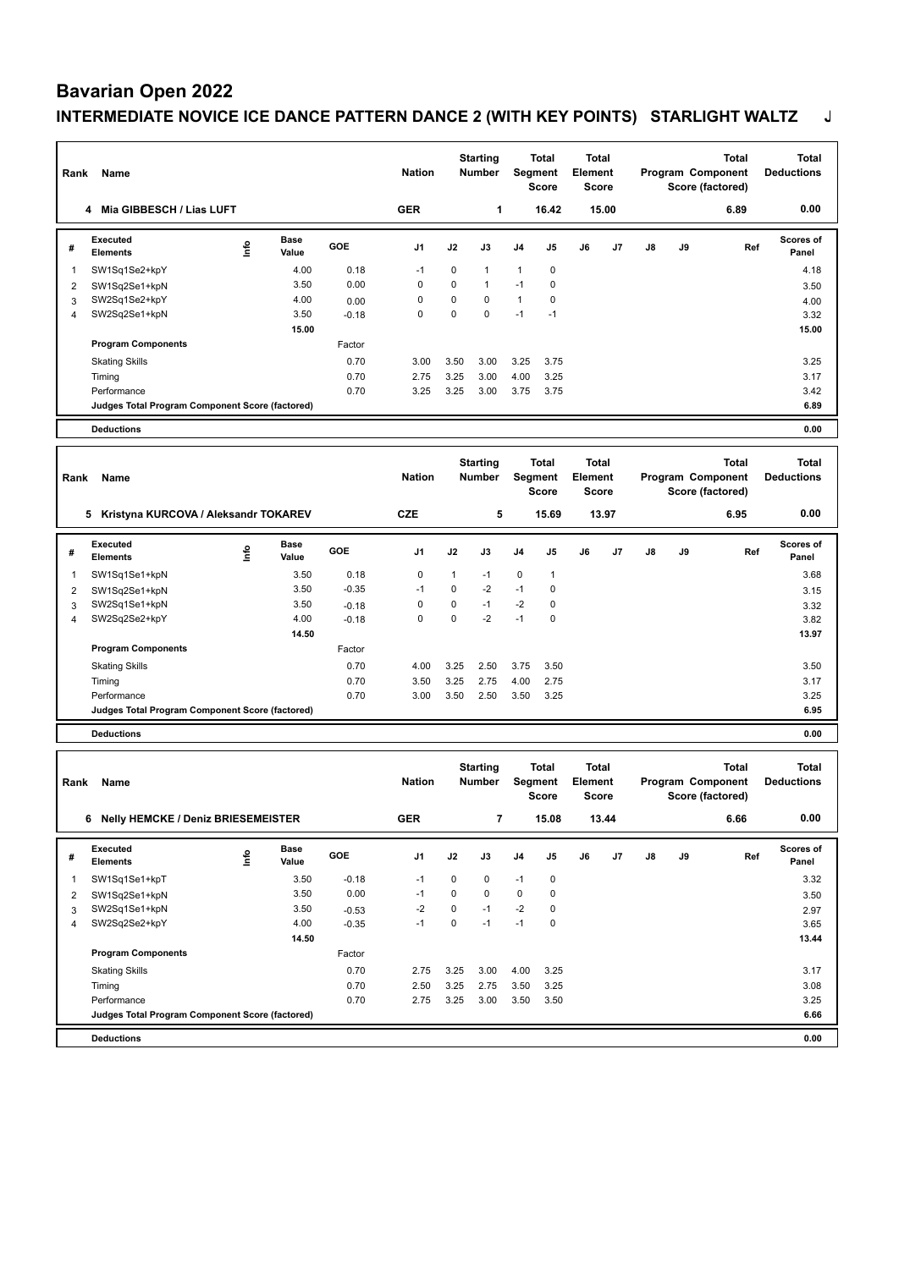#### **Bavarian Open 2022**

## **INTERMEDIATE NOVICE ICE DANCE PATTERN DANCE 2 (WITH KEY POINTS) STARLIGHT WALTZ J**

| Rank           | Name                                            |      |                      |         | <b>Nation</b> |             | <b>Starting</b><br><b>Number</b> |              | <b>Total</b><br>Segment<br><b>Score</b> | <b>Total</b><br>Element<br><b>Score</b> |       |    |    | <b>Total</b><br>Program Component<br>Score (factored) | <b>Total</b><br><b>Deductions</b> |
|----------------|-------------------------------------------------|------|----------------------|---------|---------------|-------------|----------------------------------|--------------|-----------------------------------------|-----------------------------------------|-------|----|----|-------------------------------------------------------|-----------------------------------|
|                | 4 Mia GIBBESCH / Lias LUFT                      |      |                      |         | <b>GER</b>    |             | 1                                |              | 16.42                                   |                                         | 15.00 |    |    | 6.89                                                  | 0.00                              |
| #              | <b>Executed</b><br><b>Elements</b>              | ١nf٥ | Base<br>Value        | GOE     | J1            | J2          | J3                               | J4           | J5                                      | J6                                      | J7    | J8 | J9 | Ref                                                   | Scores of<br>Panel                |
| 1              | SW1Sq1Se2+kpY                                   |      | 4.00                 | 0.18    | $-1$          | $\mathbf 0$ | 1                                | $\mathbf{1}$ | 0                                       |                                         |       |    |    |                                                       | 4.18                              |
| 2              | SW1Sq2Se1+kpN                                   |      | 3.50                 | 0.00    | 0             | 0           | $\mathbf{1}$                     | $-1$         | 0                                       |                                         |       |    |    |                                                       | 3.50                              |
| 3              | SW2Sq1Se2+kpY                                   |      | 4.00                 | 0.00    | 0             | 0           | 0                                | $\mathbf{1}$ | 0                                       |                                         |       |    |    |                                                       | 4.00                              |
| $\overline{4}$ | SW2Sq2Se1+kpN                                   |      | 3.50                 | $-0.18$ | $\mathbf 0$   | $\mathbf 0$ | 0                                | $-1$         | $-1$                                    |                                         |       |    |    |                                                       | 3.32                              |
|                |                                                 |      | 15.00                |         |               |             |                                  |              |                                         |                                         |       |    |    |                                                       | 15.00                             |
|                | <b>Program Components</b>                       |      |                      | Factor  |               |             |                                  |              |                                         |                                         |       |    |    |                                                       |                                   |
|                | <b>Skating Skills</b>                           |      |                      | 0.70    | 3.00          | 3.50        | 3.00                             | 3.25         | 3.75                                    |                                         |       |    |    |                                                       | 3.25                              |
|                | Timing                                          |      |                      | 0.70    | 2.75          | 3.25        | 3.00                             | 4.00         | 3.25                                    |                                         |       |    |    |                                                       | 3.17                              |
|                | Performance                                     |      |                      | 0.70    | 3.25          | 3.25        | 3.00                             | 3.75         | 3.75                                    |                                         |       |    |    |                                                       | 3.42                              |
|                | Judges Total Program Component Score (factored) |      |                      |         |               |             |                                  |              |                                         |                                         |       |    |    |                                                       | 6.89                              |
|                | <b>Deductions</b>                               |      |                      |         |               |             |                                  |              |                                         |                                         |       |    |    |                                                       | 0.00                              |
| Rank           | Name                                            |      |                      |         | <b>Nation</b> |             | <b>Starting</b><br><b>Number</b> |              | <b>Total</b><br>Segment                 | Total<br><b>Element</b>                 |       |    |    | <b>Total</b><br>Program Component                     | <b>Total</b><br><b>Deductions</b> |
|                | 5 Kristyna KURCOVA / Aleksandr TOKAREV          |      |                      |         | <b>CZE</b>    |             | 5                                |              | <b>Score</b><br>15.69                   | <b>Score</b>                            | 13.97 |    |    | Score (factored)<br>6.95                              | 0.00                              |
|                |                                                 |      |                      |         |               |             |                                  |              |                                         |                                         |       |    |    |                                                       |                                   |
| #              | <b>Executed</b><br><b>Elements</b>              | ١nf٥ | Base<br>Value        | GOE     | J1            | J2          | J3                               | J4           | J5                                      | J6                                      | J7    | J8 | J9 | Ref                                                   | Scores of<br>Panel                |
| 1              | SW1Sq1Se1+kpN                                   |      | 3.50                 | 0.18    | $\pmb{0}$     | 1           | $-1$                             | $\pmb{0}$    | 1                                       |                                         |       |    |    |                                                       | 3.68                              |
| $\overline{2}$ | SW1Sq2Se1+kpN                                   |      | 3.50                 | $-0.35$ | $-1$          | $\mathbf 0$ | $-2$                             | $-1$         | 0                                       |                                         |       |    |    |                                                       | 3.15                              |
| 3              | SW2Sq1Se1+kpN                                   |      | 3.50                 | $-0.18$ | $\mathbf 0$   | $\mathbf 0$ | $-1$                             | $-2$         | 0                                       |                                         |       |    |    |                                                       | 3.32                              |
| 4              | SW2Sq2Se2+kpY                                   |      | 4.00                 | $-0.18$ | $\mathbf 0$   | $\mathbf 0$ | $-2$                             | $-1$         | $\mathbf 0$                             |                                         |       |    |    |                                                       | 3.82                              |
|                |                                                 |      | 14.50                |         |               |             |                                  |              |                                         |                                         |       |    |    |                                                       | 13.97                             |
|                | <b>Program Components</b>                       |      |                      | Factor  |               |             |                                  |              |                                         |                                         |       |    |    |                                                       |                                   |
|                | <b>Skating Skills</b>                           |      |                      | 0.70    | 4.00          | 3.25        | 2.50                             | 3.75         | 3.50                                    |                                         |       |    |    |                                                       | 3.50                              |
|                | Timing                                          |      |                      | 0.70    | 3.50          | 3.25        | 2.75                             | 4.00         | 2.75                                    |                                         |       |    |    |                                                       | 3.17                              |
|                | Performance                                     |      |                      | 0.70    | 3.00          | 3.50        | 2.50                             | 3.50         | 3.25                                    |                                         |       |    |    |                                                       | 3.25                              |
|                | Judges Total Program Component Score (factored) |      |                      |         |               |             |                                  |              |                                         |                                         |       |    |    |                                                       | 6.95                              |
|                | <b>Deductions</b>                               |      |                      |         |               |             |                                  |              |                                         |                                         |       |    |    |                                                       | 0.00                              |
|                |                                                 |      |                      |         |               |             | <b>Starting</b>                  |              | <b>Total</b>                            | <b>Total</b>                            |       |    |    | <b>Total</b>                                          | <b>Total</b>                      |
| Rank           | Name                                            |      |                      |         | <b>Nation</b> |             | Number                           |              | Segment                                 | Element                                 |       |    |    | Program Component                                     | <b>Deductions</b>                 |
|                |                                                 |      |                      |         |               |             |                                  |              | <b>Score</b>                            | Score                                   |       |    |    | Score (factored)                                      |                                   |
|                | 6 Nelly HEMCKE / Deniz BRIESEMEISTER            |      |                      |         | <b>GER</b>    |             | $\overline{\mathbf{r}}$          |              | 15.08                                   |                                         | 13.44 |    |    | 6.66                                                  | 0.00                              |
| #              | Executed<br>Elements                            | ١m   | <b>Base</b><br>Value | GOE     | J1            | J2          | J3                               | J4           | J5                                      | J6                                      | J7    | J8 | J9 | Ref                                                   | Scores of<br>Panel                |
| 1              | SW1Sq1Se1+kpT                                   |      | 3.50                 | $-0.18$ | $-1$          | 0           | 0                                | $-1$         | 0                                       |                                         |       |    |    |                                                       | 3.32                              |
| 2              | SW1Sq2Se1+kpN                                   |      | 3.50                 | 0.00    | $-1$          | $\mathbf 0$ | 0                                | $\mathsf 0$  | $\pmb{0}$                               |                                         |       |    |    |                                                       | 3.50                              |
| 3              | SW2Sq1Se1+kpN                                   |      | 3.50                 | $-0.53$ | $-2$          | 0           | $-1$                             | $-2$         | 0                                       |                                         |       |    |    |                                                       | 2.97                              |
| 4              | SW2Sq2Se2+kpY                                   |      | 4.00                 | $-0.35$ | $-1$          | $\pmb{0}$   | $-1$                             | $-1$         | 0                                       |                                         |       |    |    |                                                       | 3.65                              |
|                |                                                 |      | 14.50                |         |               |             |                                  |              |                                         |                                         |       |    |    |                                                       | 13.44                             |
|                | <b>Program Components</b>                       |      |                      | Factor  |               |             |                                  |              |                                         |                                         |       |    |    |                                                       |                                   |
|                | <b>Skating Skills</b>                           |      |                      | 0.70    | 2.75          | 3.25        | 3.00                             | 4.00         | 3.25                                    |                                         |       |    |    |                                                       | 3.17                              |
|                | Timing                                          |      |                      | 0.70    | 2.50          | 3.25        | 2.75                             | 3.50         | 3.25                                    |                                         |       |    |    |                                                       | 3.08                              |
|                | Performance                                     |      |                      | 0.70    | 2.75          | 3.25        | 3.00                             | 3.50         | 3.50                                    |                                         |       |    |    |                                                       | 3.25                              |
|                | Judges Total Program Component Score (factored) |      |                      |         |               |             |                                  |              |                                         |                                         |       |    |    |                                                       | 6.66                              |
|                | <b>Deductions</b>                               |      |                      |         |               |             |                                  |              |                                         |                                         |       |    |    |                                                       | 0.00                              |